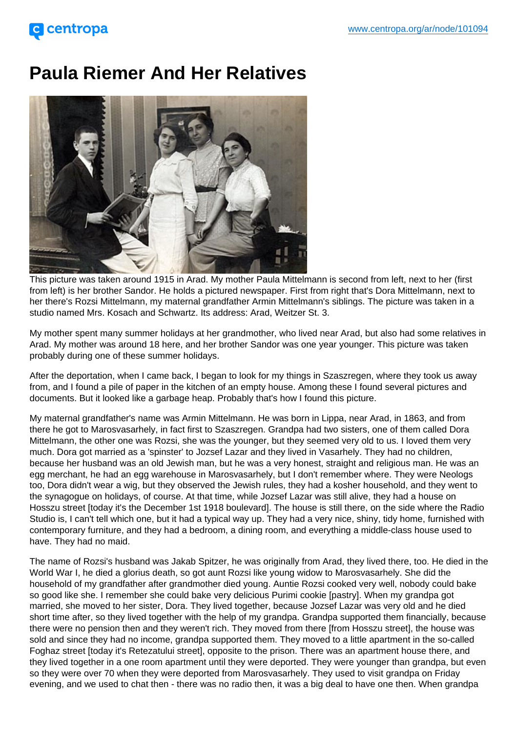## Paula Riemer And Her Relatives

This picture was taken around 1915 in Arad. My mother Paula Mittelmann is second from left, next to her (first from left) is her brother Sandor. He holds a pictured newspaper. First from right that's Dora Mittelmann, next to her there's Rozsi Mittelmann, my maternal grandfather Armin Mittelmann's siblings. The picture was taken in a studio named Mrs. Kosach and Schwartz. Its address: Arad, Weitzer St. 3.

My mother spent many summer holidays at her grandmother, who lived near Arad, but also had some relatives in Arad. My mother was around 18 here, and her brother Sandor was one year younger. This picture was taken probably during one of these summer holidays.

After the deportation, when I came back, I began to look for my things in Szaszregen, where they took us away from, and I found a pile of paper in the kitchen of an empty house. Among these I found several pictures and documents. But it looked like a garbage heap. Probably that's how I found this picture.

My maternal grandfather's name was Armin Mittelmann. He was born in Lippa, near Arad, in 1863, and from there he got to Marosvasarhely, in fact first to Szaszregen. Grandpa had two sisters, one of them called Dora Mittelmann, the other one was Rozsi, she was the younger, but they seemed very old to us. I loved them very much. Dora got married as a 'spinster' to Jozsef Lazar and they lived in Vasarhely. They had no children, because her husband was an old Jewish man, but he was a very honest, straight and religious man. He was an egg merchant, he had an egg warehouse in Marosvasarhely, but I don't remember where. They were Neologs too, Dora didn't wear a wig, but they observed the Jewish rules, they had a kosher household, and they went to the synagogue on holidays, of course. At that time, while Jozsef Lazar was still alive, they had a house on Hosszu street [today it's the December 1st 1918 boulevard]. The house is still there, on the side where the Radio Studio is, I can't tell which one, but it had a typical way up. They had a very nice, shiny, tidy home, furnished with contemporary furniture, and they had a bedroom, a dining room, and everything a middle-class house used to have. They had no maid.

The name of Rozsi's husband was Jakab Spitzer, he was originally from Arad, they lived there, too. He died in the World War I, he died a glorius death, so got aunt Rozsi like young widow to Marosvasarhely. She did the household of my grandfather after grandmother died young. Auntie Rozsi cooked very well, nobody could bake so good like she. I remember she could bake very delicious Purimi cookie [pastry]. When my grandpa got married, she moved to her sister, Dora. They lived together, because Jozsef Lazar was very old and he died short time after, so they lived together with the help of my grandpa. Grandpa supported them financially, because there were no pension then and they weren't rich. They moved from there [from Hosszu street], the house was sold and since they had no income, grandpa supported them. They moved to a little apartment in the so-called Foghaz street [today it's Retezatului street], opposite to the prison. There was an apartment house there, and they lived together in a one room apartment until they were deported. They were younger than grandpa, but even so they were over 70 when they were deported from Marosvasarhely. They used to visit grandpa on Friday evening, and we used to chat then - there was no radio then, it was a big deal to have one then. When grandpa